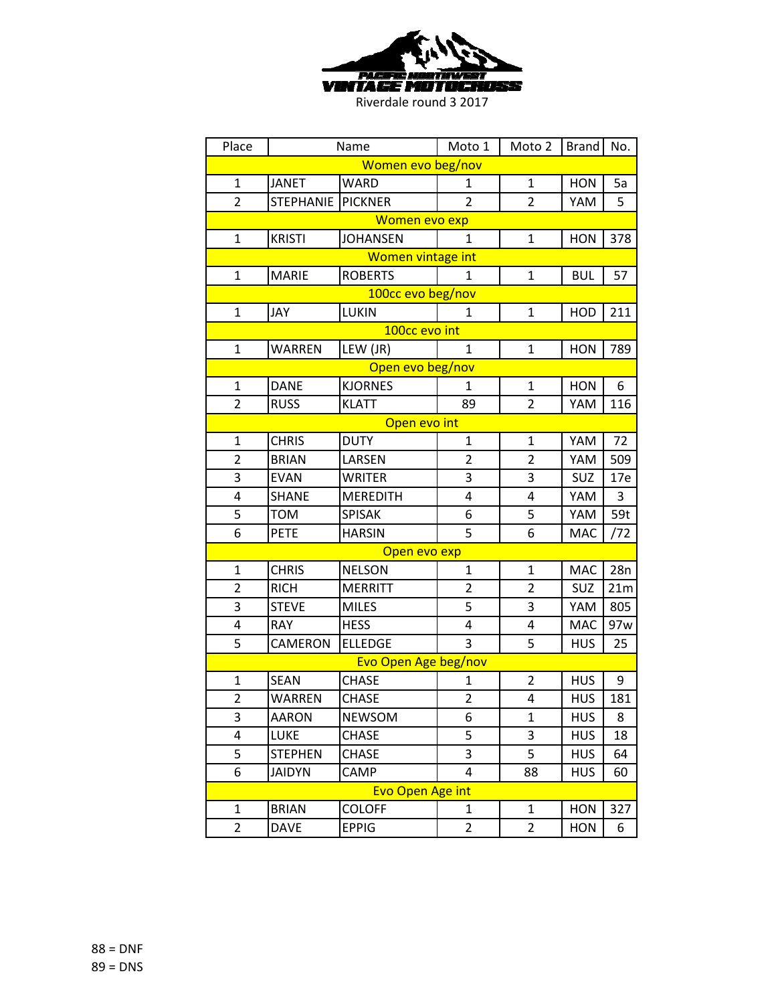

| Place             | Name             |                         | Moto 1         | Moto 2         | <b>Brand</b> | No. |  |  |
|-------------------|------------------|-------------------------|----------------|----------------|--------------|-----|--|--|
| Women evo beg/nov |                  |                         |                |                |              |     |  |  |
| 1                 | <b>JANET</b>     | WARD                    | 1              | 1              | <b>HON</b>   | 5a  |  |  |
| $\overline{2}$    | <b>STEPHANIE</b> | <b>PICKNER</b>          | $\overline{2}$ | $\overline{2}$ | YAM          | 5   |  |  |
| Women evo exp     |                  |                         |                |                |              |     |  |  |
| $\mathbf{1}$      | <b>KRISTI</b>    | <b>JOHANSEN</b>         | $\mathbf{1}$   | $\mathbf{1}$   | HON          | 378 |  |  |
|                   |                  | Women vintage int       |                |                |              |     |  |  |
| $\mathbf{1}$      | <b>MARIE</b>     | <b>ROBERTS</b>          | 1              | 1              | <b>BUL</b>   | 57  |  |  |
|                   |                  | 100cc evo beg/nov       |                |                |              |     |  |  |
| 1                 | JAY              | LUKIN                   | 1              | $\mathbf{1}$   | <b>HOD</b>   | 211 |  |  |
|                   |                  | 100cc evo int           |                |                |              |     |  |  |
| $\mathbf{1}$      | <b>WARREN</b>    | LEW (JR)                | $\mathbf{1}$   | $\mathbf{1}$   | <b>HON</b>   | 789 |  |  |
|                   |                  | Open evo beg/nov        |                |                |              |     |  |  |
| $\mathbf{1}$      | <b>DANE</b>      | <b>KJORNES</b>          | $\mathbf{1}$   | 1              | <b>HON</b>   | 6   |  |  |
| $\overline{2}$    | <b>RUSS</b>      | <b>KLATT</b>            | 89             | 2              | YAM          | 116 |  |  |
| Open evo int      |                  |                         |                |                |              |     |  |  |
| $\mathbf{1}$      | <b>CHRIS</b>     | <b>DUTY</b>             | $\mathbf 1$    | $\mathbf{1}$   | YAM          | 72  |  |  |
| $\overline{2}$    | <b>BRIAN</b>     | LARSEN                  | $\overline{2}$ | 2              | YAM          | 509 |  |  |
| 3                 | <b>EVAN</b>      | <b>WRITER</b>           | 3              | 3              | SUZ          | 17e |  |  |
| 4                 | <b>SHANE</b>     | <b>MEREDITH</b>         | 4              | 4              | YAM          | 3   |  |  |
| 5                 | <b>TOM</b>       | <b>SPISAK</b>           | 6              | 5              | YAM          | 59t |  |  |
| 6                 | <b>PETE</b>      | <b>HARSIN</b>           | 5              | 6              | <b>MAC</b>   | /72 |  |  |
|                   |                  | Open evo exp            |                |                |              |     |  |  |
| $\mathbf{1}$      | <b>CHRIS</b>     | <b>NELSON</b>           | 1              | 1              | <b>MAC</b>   | 28n |  |  |
| $\overline{2}$    | <b>RICH</b>      | <b>MERRITT</b>          | 2              | 2              | SUZ          | 21m |  |  |
| 3                 | <b>STEVE</b>     | <b>MILES</b>            | 5              | 3              | YAM          | 805 |  |  |
| 4                 | <b>RAY</b>       | <b>HESS</b>             | 4              | 4              | <b>MAC</b>   | 97w |  |  |
| 5                 | CAMERON          | <b>ELLEDGE</b>          | 3              | 5              | <b>HUS</b>   | 25  |  |  |
|                   |                  | Evo Open Age beg/nov    |                |                |              |     |  |  |
| $\mathbf{1}$      | <b>SEAN</b>      | <b>CHASE</b>            | 1              | $\overline{2}$ | <b>HUS</b>   | 9   |  |  |
| $\overline{2}$    | WARREN           | <b>CHASE</b>            | $\overline{2}$ | 4              | <b>HUS</b>   | 181 |  |  |
| 3                 | <b>AARON</b>     | <b>NEWSOM</b>           | 6              | 1              | <b>HUS</b>   | 8   |  |  |
| 4                 | <b>LUKE</b>      | <b>CHASE</b>            | 5              | 3              | <b>HUS</b>   | 18  |  |  |
| 5                 | <b>STEPHEN</b>   | <b>CHASE</b>            | 3              | 5              | HUS          | 64  |  |  |
| 6                 | <b>JAIDYN</b>    | CAMP                    | 4              | 88             | HUS          | 60  |  |  |
|                   |                  | <b>Evo Open Age int</b> |                |                |              |     |  |  |
| 1                 | <b>BRIAN</b>     | <b>COLOFF</b>           | 1              | 1              | <b>HON</b>   | 327 |  |  |
| $\overline{2}$    | <b>DAVE</b>      | <b>EPPIG</b>            | 2              | $\overline{2}$ | <b>HON</b>   | 6   |  |  |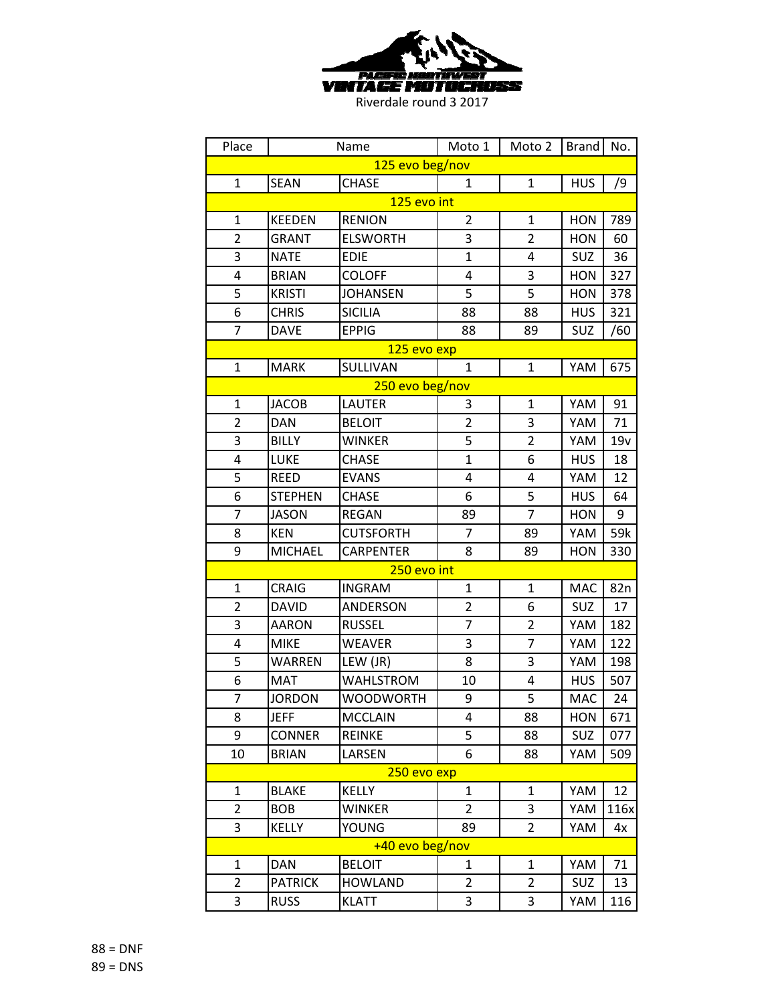

| Place           |                | Name             | Moto 1         | Moto 2         | <b>Brand</b> | No.             |  |
|-----------------|----------------|------------------|----------------|----------------|--------------|-----------------|--|
| 125 evo beg/nov |                |                  |                |                |              |                 |  |
| $\mathbf{1}$    | <b>SEAN</b>    | <b>CHASE</b>     | $\mathbf{1}$   | $\mathbf{1}$   | <b>HUS</b>   | /9              |  |
|                 |                | 125 evo int      |                |                |              |                 |  |
| $\mathbf{1}$    | <b>KEEDEN</b>  | <b>RENION</b>    | $\overline{2}$ | $\mathbf{1}$   | <b>HON</b>   | 789             |  |
| $\overline{2}$  | <b>GRANT</b>   | <b>ELSWORTH</b>  | 3              | $\overline{2}$ | <b>HON</b>   | 60              |  |
| 3               | <b>NATE</b>    | <b>EDIE</b>      | $\mathbf{1}$   | 4              | SUZ          | 36              |  |
| 4               | <b>BRIAN</b>   | <b>COLOFF</b>    | 4              | 3              | <b>HON</b>   | 327             |  |
| 5               | <b>KRISTI</b>  | <b>JOHANSEN</b>  | 5              | 5              | <b>HON</b>   | 378             |  |
| 6               | <b>CHRIS</b>   | <b>SICILIA</b>   | 88             | 88             | HUS          | 321             |  |
| $\overline{7}$  | <b>DAVE</b>    | <b>EPPIG</b>     | 88             | 89             | SUZ          | /60             |  |
|                 |                | 125 evo exp      |                |                |              |                 |  |
| $\mathbf{1}$    | <b>MARK</b>    | SULLIVAN         | $\mathbf{1}$   | $\mathbf{1}$   | YAM          | 675             |  |
|                 |                | 250 evo beg/nov  |                |                |              |                 |  |
| 1               | <b>JACOB</b>   | <b>LAUTER</b>    | 3              | $\mathbf{1}$   | YAM          | 91              |  |
| $\overline{2}$  | <b>DAN</b>     | <b>BELOIT</b>    | $\overline{2}$ | 3              | YAM          | 71              |  |
| 3               | <b>BILLY</b>   | <b>WINKER</b>    | 5              | $\overline{2}$ | YAM          | 19v             |  |
| 4               | <b>LUKE</b>    | <b>CHASE</b>     | $\mathbf{1}$   | 6              | <b>HUS</b>   | 18              |  |
| 5               | <b>REED</b>    | <b>EVANS</b>     | 4              | 4              | YAM          | 12              |  |
| 6               | <b>STEPHEN</b> | <b>CHASE</b>     | 6              | 5              | <b>HUS</b>   | 64              |  |
| $\overline{7}$  | <b>JASON</b>   | <b>REGAN</b>     | 89             | $\overline{7}$ | <b>HON</b>   | 9               |  |
| 8               | <b>KEN</b>     | <b>CUTSFORTH</b> | 7              | 89             | YAM          | 59k             |  |
| 9               | <b>MICHAEL</b> | <b>CARPENTER</b> | 8              | 89             | <b>HON</b>   | 330             |  |
|                 |                | 250 evo int      |                |                |              |                 |  |
| $\mathbf{1}$    | <b>CRAIG</b>   | <b>INGRAM</b>    | $\mathbf 1$    | $\mathbf{1}$   | <b>MAC</b>   | 82 <sub>n</sub> |  |
| $\overline{2}$  | <b>DAVID</b>   | ANDERSON         | $\overline{2}$ | 6              | SUZ          | 17              |  |
| 3               | <b>AARON</b>   | <b>RUSSEL</b>    | $\overline{7}$ | $\overline{2}$ | YAM          | 182             |  |
| 4               | <b>MIKE</b>    | <b>WEAVER</b>    | 3              | $\overline{7}$ | YAM          | 122             |  |
| 5               | <b>WARREN</b>  | LEW (JR)         | 8              | 3              | YAM          | 198             |  |
| 6               | <b>MAT</b>     | <b>WAHLSTROM</b> | 10             | 4              | <b>HUS</b>   | 507             |  |
| $\overline{7}$  | <b>JORDON</b>  | <b>WOODWORTH</b> | 9              | 5              | <b>MAC</b>   | 24              |  |
| 8               | <b>JEFF</b>    | <b>MCCLAIN</b>   | 4              | 88             | <b>HON</b>   | 671             |  |
| 9               | <b>CONNER</b>  | <b>REINKE</b>    | 5              | 88             | SUZ          | 077             |  |
| 10              | <b>BRIAN</b>   | LARSEN           | 6              | 88             | YAM          | 509             |  |
|                 |                | 250 evo exp      |                |                |              |                 |  |
| $\mathbf{1}$    | <b>BLAKE</b>   | <b>KELLY</b>     | $\mathbf{1}$   | $\mathbf{1}$   | YAM          | 12              |  |
| $\overline{2}$  | <b>BOB</b>     | <b>WINKER</b>    | $\overline{2}$ | 3              | YAM          | 116x            |  |
| 3               | <b>KELLY</b>   | YOUNG            | 89             | $\overline{2}$ | YAM          | 4x              |  |
|                 |                | +40 evo beg/nov  |                |                |              |                 |  |
| 1               | <b>DAN</b>     | <b>BELOIT</b>    | 1              | $\mathbf{1}$   | YAM          | 71              |  |
| 2               | <b>PATRICK</b> | <b>HOWLAND</b>   | $\overline{2}$ | $\overline{2}$ | SUZ          | 13              |  |
| 3               | <b>RUSS</b>    | <b>KLATT</b>     | 3              | 3              | YAM          | 116             |  |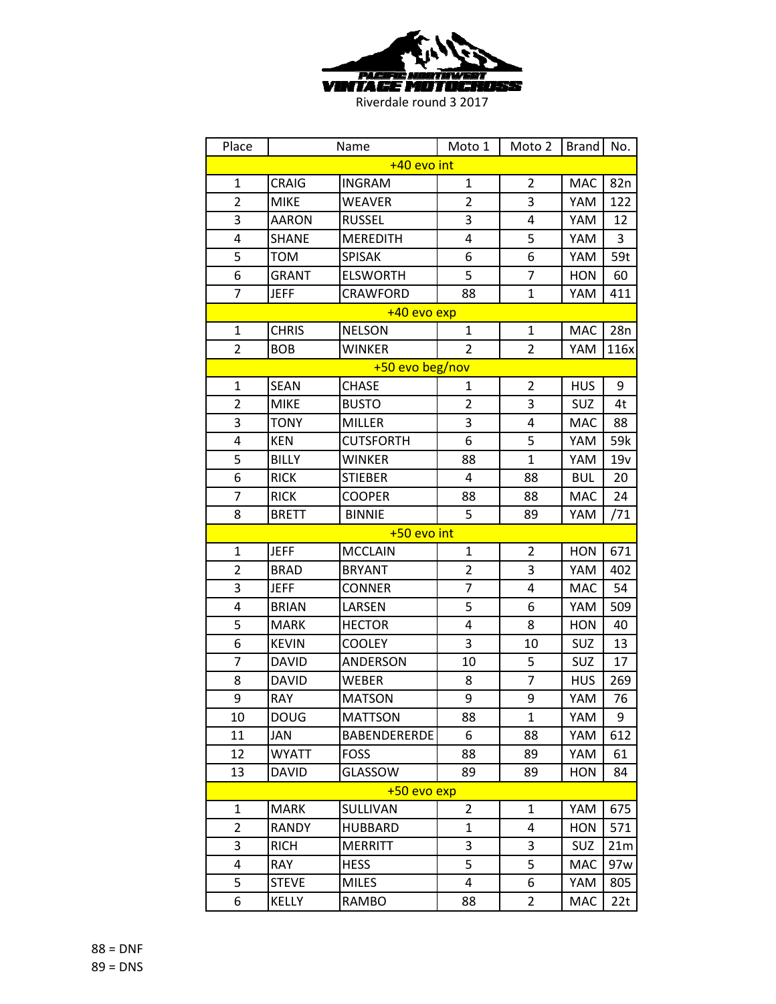

| Place          |              | Name                | Moto 1                  | Moto 2         | <b>Brand</b> | No.             |  |
|----------------|--------------|---------------------|-------------------------|----------------|--------------|-----------------|--|
| +40 evo int    |              |                     |                         |                |              |                 |  |
| $\mathbf{1}$   | <b>CRAIG</b> | <b>INGRAM</b>       | $\mathbf{1}$            | $\overline{2}$ | <b>MAC</b>   | 82n             |  |
| $\overline{2}$ | <b>MIKE</b>  | <b>WEAVER</b>       | $\overline{2}$          | 3              | YAM          | 122             |  |
| 3              | AARON        | <b>RUSSEL</b>       | 3                       | 4              | YAM          | 12              |  |
| 4              | <b>SHANE</b> | <b>MEREDITH</b>     | 4                       | 5              | YAM          | 3               |  |
| 5              | TOM          | <b>SPISAK</b>       | 6                       | 6              | YAM          | 59t             |  |
| 6              | <b>GRANT</b> | <b>ELSWORTH</b>     | 5                       | 7              | <b>HON</b>   | 60              |  |
| $\overline{7}$ | <b>JEFF</b>  | <b>CRAWFORD</b>     | 88                      | $\mathbf{1}$   | YAM          | 411             |  |
|                |              | +40 evo exp         |                         |                |              |                 |  |
| $\mathbf{1}$   | <b>CHRIS</b> | <b>NELSON</b>       | $\mathbf{1}$            | $\mathbf{1}$   | <b>MAC</b>   | 28n             |  |
| $\overline{2}$ | <b>BOB</b>   | <b>WINKER</b>       | $\overline{2}$          | $\overline{2}$ | YAM          | 116x            |  |
|                |              | +50 evo beg/nov     |                         |                |              |                 |  |
| $\mathbf{1}$   | <b>SEAN</b>  | <b>CHASE</b>        | 1                       | $\overline{2}$ | <b>HUS</b>   | 9               |  |
| $\overline{2}$ | <b>MIKE</b>  | <b>BUSTO</b>        | 2                       | 3              | SUZ          | 4t              |  |
| 3              | <b>TONY</b>  | <b>MILLER</b>       | 3                       | 4              | <b>MAC</b>   | 88              |  |
| 4              | <b>KEN</b>   | <b>CUTSFORTH</b>    | 6                       | 5              | YAM          | 59k             |  |
| 5              | <b>BILLY</b> | <b>WINKER</b>       | 88                      | $\mathbf{1}$   | YAM          | 19v             |  |
| 6              | <b>RICK</b>  | <b>STIEBER</b>      | 4                       | 88             | <b>BUL</b>   | 20              |  |
| 7              | <b>RICK</b>  | <b>COOPER</b>       | 88                      | 88             | <b>MAC</b>   | 24              |  |
| 8              | <b>BRETT</b> | <b>BINNIE</b>       | 5                       | 89             | YAM          | /71             |  |
|                |              | $+50$ evo int       |                         |                |              |                 |  |
| $\mathbf{1}$   | <b>JEFF</b>  | <b>MCCLAIN</b>      | $\mathbf{1}$            | $\overline{2}$ | <b>HON</b>   | 671             |  |
| $\overline{2}$ | <b>BRAD</b>  | <b>BRYANT</b>       | $\overline{\mathbf{c}}$ | 3              | YAM          | 402             |  |
| 3              | <b>JEFF</b>  | <b>CONNER</b>       | $\overline{7}$          | 4              | <b>MAC</b>   | 54              |  |
| 4              | <b>BRIAN</b> | LARSEN              | 5                       | 6              | YAM          | 509             |  |
| 5              | <b>MARK</b>  | <b>HECTOR</b>       | 4                       | 8              | <b>HON</b>   | 40              |  |
| 6              | <b>KEVIN</b> | <b>COOLEY</b>       | 3                       | 10             | <b>SUZ</b>   | 13              |  |
| 7              | DAVID        | <b>ANDERSON</b>     | 10                      | 5              | SUZ          | 17              |  |
| 8              | <b>DAVID</b> | <b>WEBER</b>        | 8                       | 7              | <b>HUS</b>   | 269             |  |
| 9              | <b>RAY</b>   | <b>MATSON</b>       | 9                       | 9              | YAM          | 76              |  |
| 10             | <b>DOUG</b>  | <b>MATTSON</b>      | 88                      | 1              | YAM          | 9               |  |
| 11             | JAN          | <b>BABENDERERDE</b> | 6                       | 88             | YAM          | 612             |  |
| 12             | <b>WYATT</b> | <b>FOSS</b>         | 88                      | 89             | YAM          | 61              |  |
| 13             | <b>DAVID</b> | GLASSOW             | 89                      | 89             | HON          | 84              |  |
|                |              | +50 evo exp         |                         |                |              |                 |  |
| 1              | <b>MARK</b>  | SULLIVAN            | $\overline{2}$          | 1              | YAM          | 675             |  |
| $\overline{2}$ | <b>RANDY</b> | <b>HUBBARD</b>      | $\mathbf 1$             | 4              | <b>HON</b>   | 571             |  |
| 3              | <b>RICH</b>  | <b>MERRITT</b>      | 3                       | 3              | SUZ          | 21 <sub>m</sub> |  |
| 4              | RAY          | <b>HESS</b>         | 5                       | 5              | <b>MAC</b>   | 97w             |  |
| 5              | <b>STEVE</b> | <b>MILES</b>        | 4                       | 6              | YAM          | 805             |  |
| 6              | <b>KELLY</b> | <b>RAMBO</b>        | 88                      | 2              | MAC          | 22t             |  |

88 = DNF 89 = DNS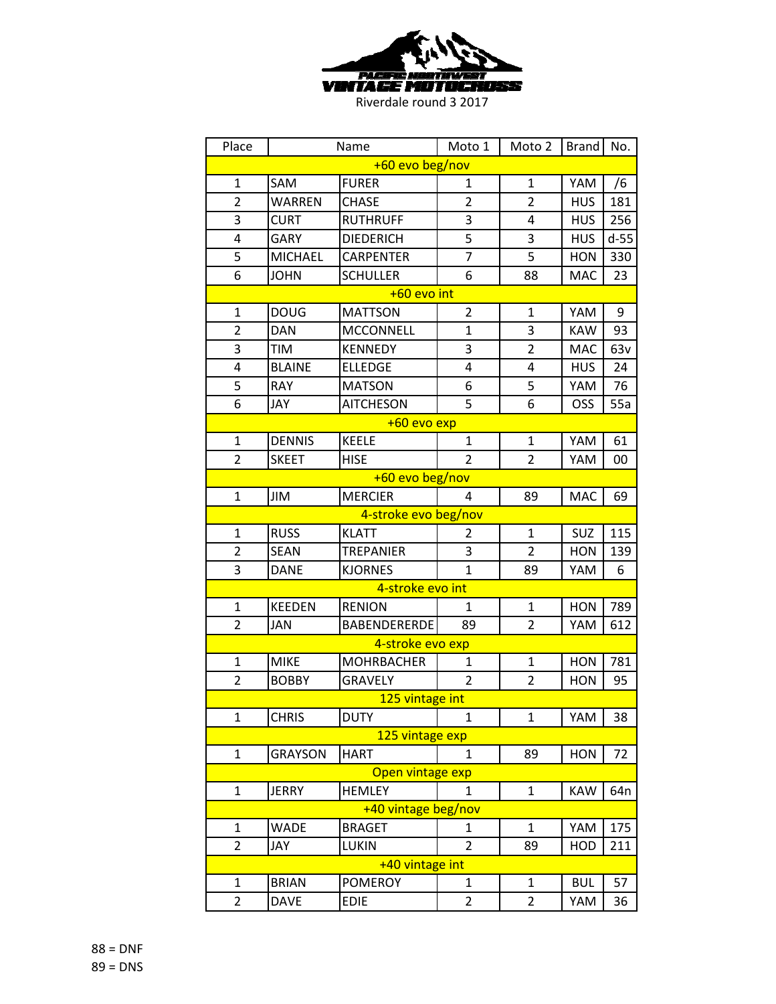

| Place           |                | Name                 | Moto 1         | Moto 2         | <b>Brand</b> | No.             |  |
|-----------------|----------------|----------------------|----------------|----------------|--------------|-----------------|--|
| +60 evo beg/nov |                |                      |                |                |              |                 |  |
| $\mathbf{1}$    | SAM            | <b>FURER</b>         | 1              | 1              | YAM          | /6              |  |
| $\overline{2}$  | <b>WARREN</b>  | <b>CHASE</b>         | $\overline{2}$ | $\overline{2}$ | <b>HUS</b>   | 181             |  |
| 3               | <b>CURT</b>    | <b>RUTHRUFF</b>      | 3              | 4              | <b>HUS</b>   | 256             |  |
| 4               | <b>GARY</b>    | <b>DIEDERICH</b>     | 5              | 3              | <b>HUS</b>   | $d-55$          |  |
| 5               | <b>MICHAEL</b> | <b>CARPENTER</b>     | $\overline{7}$ | 5              | <b>HON</b>   | 330             |  |
| 6               | <b>JOHN</b>    | <b>SCHULLER</b>      | 6              | 88             | MAC          | 23              |  |
|                 |                | +60 evo int          |                |                |              |                 |  |
| $\mathbf{1}$    | <b>DOUG</b>    | <b>MATTSON</b>       | $\overline{2}$ | 1              | YAM          | 9               |  |
| $\overline{2}$  | <b>DAN</b>     | <b>MCCONNELL</b>     | $\mathbf{1}$   | 3              | <b>KAW</b>   | 93              |  |
| 3               | TIM            | <b>KENNEDY</b>       | 3              | $\overline{2}$ | MAC          | 63v             |  |
| 4               | <b>BLAINE</b>  | <b>ELLEDGE</b>       | 4              | 4              | <b>HUS</b>   | 24              |  |
| 5               | <b>RAY</b>     | <b>MATSON</b>        | 6              | 5              | YAM          | 76              |  |
| 6               | JAY            | <b>AITCHESON</b>     | 5              | 6              | OSS          | 55a             |  |
|                 |                | +60 evo exp          |                |                |              |                 |  |
| $\mathbf{1}$    | <b>DENNIS</b>  | <b>KEELE</b>         | $\mathbf{1}$   | $\mathbf{1}$   | YAM          | 61              |  |
| $\overline{2}$  | <b>SKEET</b>   | <b>HISE</b>          | $\overline{2}$ | $\overline{2}$ | YAM          | 00              |  |
| +60 evo beg/nov |                |                      |                |                |              |                 |  |
| $\mathbf{1}$    | JIM            | <b>MERCIER</b>       | 4              | 89             | <b>MAC</b>   | 69              |  |
|                 |                | 4-stroke evo beg/nov |                |                |              |                 |  |
| $\mathbf{1}$    | <b>RUSS</b>    | <b>KLATT</b>         | 2              | $\mathbf{1}$   | SUZ          | 115             |  |
| $\overline{2}$  | <b>SEAN</b>    | <b>TREPANIER</b>     | 3              | $\overline{2}$ | <b>HON</b>   | 139             |  |
| 3               | <b>DANE</b>    | <b>KJORNES</b>       | $\mathbf{1}$   | 89             | YAM          | 6               |  |
|                 |                | 4-stroke evo int     |                |                |              |                 |  |
| $\mathbf{1}$    | <b>KEEDEN</b>  | <b>RENION</b>        | $\mathbf{1}$   | $\mathbf{1}$   | <b>HON</b>   | 789             |  |
| $\overline{2}$  | <b>JAN</b>     | BABENDERERDE         | 89             | $\overline{2}$ | YAM          | 612             |  |
|                 |                | 4-stroke evo exp     |                |                |              |                 |  |
| $\mathbf{1}$    | <b>MIKE</b>    | MOHRBACHER           | $\mathbf{1}$   | 1              | <b>HON</b>   | 781             |  |
| $\overline{2}$  | <b>BOBBY</b>   | <b>GRAVELY</b>       | $\overline{2}$ | $\overline{2}$ | <b>HON</b>   | 95              |  |
|                 |                | 125 vintage int      |                |                |              |                 |  |
| $\mathbf{1}$    | <b>CHRIS</b>   | <b>DUTY</b>          | $\mathbf{1}$   | 1              | YAM          | 38              |  |
|                 |                | 125 vintage exp      |                |                |              |                 |  |
| $\mathbf{1}$    | <b>GRAYSON</b> | <b>HART</b>          | 1              | 89             | <b>HON</b>   | 72              |  |
|                 |                | Open vintage exp     |                |                |              |                 |  |
| $\mathbf{1}$    | <b>JERRY</b>   | <b>HEMLEY</b>        | 1              | $\mathbf{1}$   | <b>KAW</b>   | 64 <sub>n</sub> |  |
|                 |                | +40 vintage beg/nov  |                |                |              |                 |  |
| $\mathbf{1}$    | <b>WADE</b>    | <b>BRAGET</b>        | 1              | $\mathbf{1}$   | YAM          | 175             |  |
| $\overline{2}$  | JAY            | <b>LUKIN</b>         | $\overline{2}$ | 89             | HOD          | 211             |  |
|                 |                | +40 vintage int      |                |                |              |                 |  |
| 1               | <b>BRIAN</b>   | <b>POMEROY</b>       | 1              | 1              | <b>BUL</b>   | 57              |  |
| 2               | <b>DAVE</b>    | <b>EDIE</b>          | $\overline{2}$ | 2              | YAM          | 36              |  |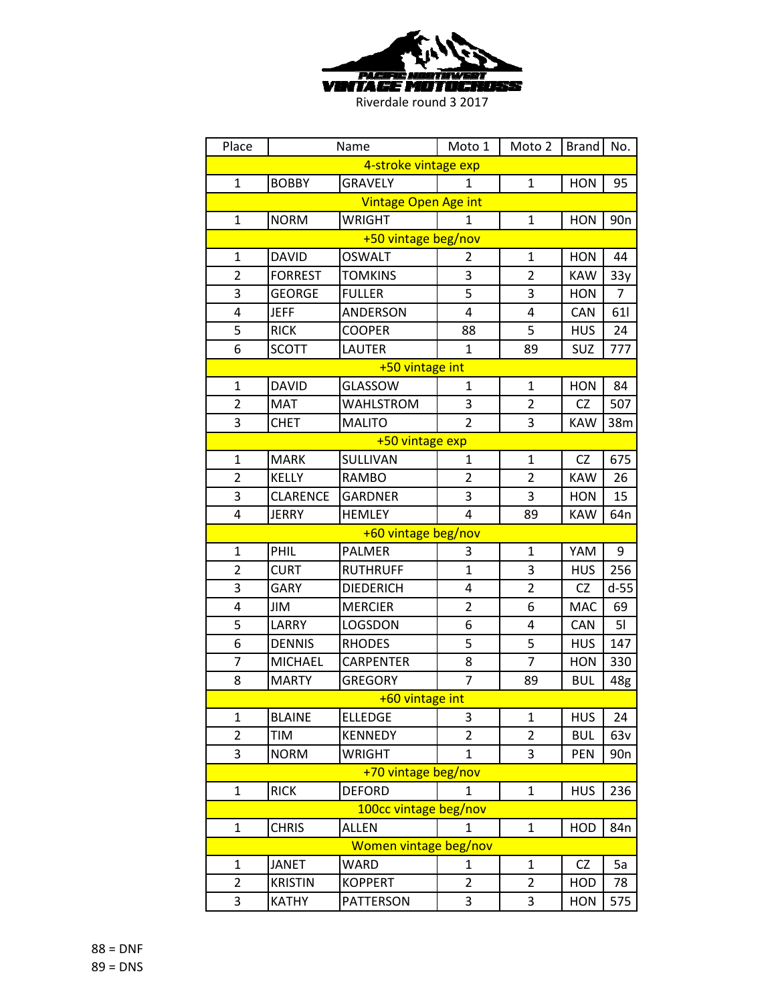

| Place                |                 | Name                        | Moto 1         | Moto 2         | <b>Brand</b> | No.             |  |
|----------------------|-----------------|-----------------------------|----------------|----------------|--------------|-----------------|--|
| 4-stroke vintage exp |                 |                             |                |                |              |                 |  |
| $\mathbf{1}$         | <b>BOBBY</b>    | <b>GRAVELY</b>              | $\mathbf{1}$   | $\mathbf{1}$   | <b>HON</b>   | 95              |  |
|                      |                 | <b>Vintage Open Age int</b> |                |                |              |                 |  |
| $\mathbf{1}$         | <b>NORM</b>     | <b>WRIGHT</b>               | 1              | 1              | <b>HON</b>   | 90 <sub>n</sub> |  |
| +50 vintage beg/nov  |                 |                             |                |                |              |                 |  |
| $\mathbf{1}$         | <b>DAVID</b>    | <b>OSWALT</b>               | $\overline{2}$ | $\mathbf{1}$   | <b>HON</b>   | 44              |  |
| $\overline{2}$       | <b>FORREST</b>  | <b>TOMKINS</b>              | 3              | $\overline{2}$ | <b>KAW</b>   | 33y             |  |
| 3                    | <b>GEORGE</b>   | <b>FULLER</b>               | 5              | 3              | <b>HON</b>   | 7               |  |
| 4                    | <b>JEFF</b>     | ANDERSON                    | 4              | 4              | CAN          | 61              |  |
| 5                    | <b>RICK</b>     | <b>COOPER</b>               | 88             | 5              | <b>HUS</b>   | 24              |  |
| 6                    | <b>SCOTT</b>    | <b>LAUTER</b>               | $\mathbf{1}$   | 89             | SUZ          | 777             |  |
|                      |                 | +50 vintage int             |                |                |              |                 |  |
| $\mathbf{1}$         | <b>DAVID</b>    | GLASSOW                     | $\mathbf{1}$   | $\mathbf{1}$   | <b>HON</b>   | 84              |  |
| $\overline{2}$       | <b>MAT</b>      | <b>WAHLSTROM</b>            | 3              | 2              | <b>CZ</b>    | 507             |  |
| 3                    | <b>CHET</b>     | <b>MALITO</b>               | $\overline{2}$ | 3              | <b>KAW</b>   | 38m             |  |
|                      |                 | +50 vintage exp             |                |                |              |                 |  |
| $\mathbf{1}$         | <b>MARK</b>     | SULLIVAN                    | 1              | $\mathbf{1}$   | <b>CZ</b>    | 675             |  |
| $\overline{2}$       | <b>KELLY</b>    | <b>RAMBO</b>                | $\overline{2}$ | 2              | <b>KAW</b>   | 26              |  |
| 3                    | <b>CLARENCE</b> | <b>GARDNER</b>              | 3              | 3              | <b>HON</b>   | 15              |  |
| 4                    | <b>JERRY</b>    | <b>HEMLEY</b>               | 4              | 89             | <b>KAW</b>   | 64 <sub>n</sub> |  |
|                      |                 | +60 vintage beg/nov         |                |                |              |                 |  |
| $\mathbf{1}$         | PHIL            | <b>PALMER</b>               | 3              | $\mathbf{1}$   | YAM          | 9               |  |
| 2                    | <b>CURT</b>     | <b>RUTHRUFF</b>             | $\overline{1}$ | 3              | <b>HUS</b>   | 256             |  |
| 3                    | <b>GARY</b>     | <b>DIEDERICH</b>            | 4              | $\overline{2}$ | <b>CZ</b>    | $d-55$          |  |
| 4                    | JIM             | <b>MERCIER</b>              | $\overline{2}$ | 6              | <b>MAC</b>   | 69              |  |
| 5                    | LARRY           | LOGSDON                     | 6              | 4              | CAN          | 51              |  |
| 6                    | <b>DENNIS</b>   | <b>RHODES</b>               | 5              | 5              | <b>HUS</b>   | 147             |  |
| 7                    | <b>MICHAEL</b>  | <b>CARPENTER</b>            | 8              | $\overline{7}$ | <b>HON</b>   | 330             |  |
| 8                    | <b>MARTY</b>    | <b>GREGORY</b>              | $\overline{7}$ | 89             | <b>BUL</b>   | 48g             |  |
|                      |                 | +60 vintage int             |                |                |              |                 |  |
| $\mathbf{1}$         | <b>BLAINE</b>   | <b>ELLEDGE</b>              | 3              | $\mathbf{1}$   | <b>HUS</b>   | 24              |  |
| $\overline{2}$       | TIM             | <b>KENNEDY</b>              | $\overline{2}$ | 2              | <b>BUL</b>   | 63v             |  |
| 3                    | <b>NORM</b>     | <b>WRIGHT</b>               | $\mathbf{1}$   | 3              | PEN          | 90 <sub>n</sub> |  |
|                      |                 | +70 vintage beg/nov         |                |                |              |                 |  |
| $\mathbf{1}$         | <b>RICK</b>     | <b>DEFORD</b>               | 1              | 1              | <b>HUS</b>   | 236             |  |
|                      |                 | 100cc vintage beg/nov       |                |                |              |                 |  |
| $\mathbf{1}$         | <b>CHRIS</b>    | <b>ALLEN</b>                | 1              | $\mathbf{1}$   | HOD          | 84 <sub>n</sub> |  |
|                      |                 | Women vintage beg/nov       |                |                |              |                 |  |
| $\mathbf{1}$         | <b>JANET</b>    | <b>WARD</b>                 | 1              | $\mathbf{1}$   | CZ           | 5a              |  |
| $\overline{2}$       | <b>KRISTIN</b>  | <b>KOPPERT</b>              | $\overline{2}$ | $\overline{2}$ | HOD          | 78              |  |
| 3                    | <b>KATHY</b>    | PATTERSON                   | 3              | 3              | <b>HON</b>   | 575             |  |

88 = DNF 89 = DNS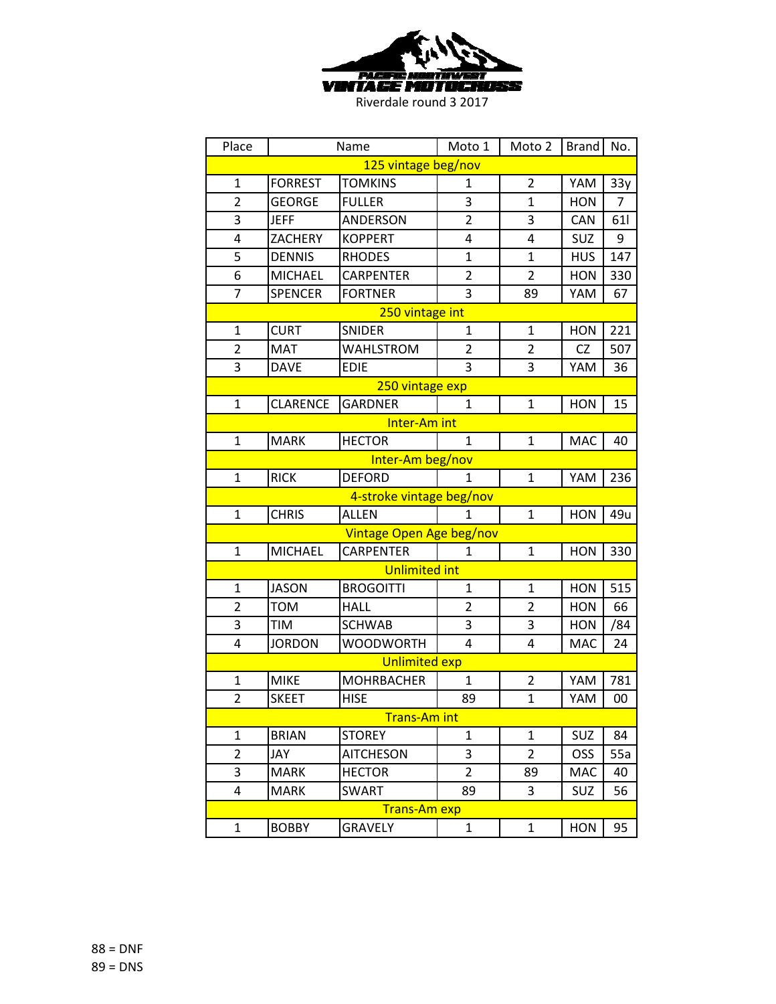

| Place                    |                 | Name                     | Moto 1         | Moto 2         | <b>Brand</b> | No.            |  |
|--------------------------|-----------------|--------------------------|----------------|----------------|--------------|----------------|--|
|                          |                 | 125 vintage beg/nov      |                |                |              |                |  |
| $\mathbf{1}$             | <b>FORREST</b>  | <b>TOMKINS</b>           | 1              | $\overline{2}$ | YAM          | 33y            |  |
| $\overline{2}$           | <b>GEORGE</b>   | <b>FULLER</b>            | 3              | $\mathbf{1}$   | <b>HON</b>   | $\overline{7}$ |  |
| 3                        | <b>JEFF</b>     | <b>ANDERSON</b>          | $\overline{2}$ | 3              | <b>CAN</b>   | 61             |  |
| $\overline{4}$           | ZACHERY         | <b>KOPPERT</b>           | 4              | 4              | SUZ          | 9              |  |
| 5                        | <b>DENNIS</b>   | <b>RHODES</b>            | $\overline{1}$ | $\mathbf{1}$   | <b>HUS</b>   | 147            |  |
| 6                        | <b>MICHAEL</b>  | <b>CARPENTER</b>         | $\overline{2}$ | $\overline{2}$ | <b>HON</b>   | 330            |  |
| $\overline{7}$           | <b>SPENCER</b>  | <b>FORTNER</b>           | 3              | 89             | YAM          | 67             |  |
|                          |                 | 250 vintage int          |                |                |              |                |  |
| $\mathbf{1}$             | <b>CURT</b>     | <b>SNIDER</b>            | 1              | $\mathbf{1}$   | <b>HON</b>   | 221            |  |
| $\overline{2}$           | <b>MAT</b>      | <b>WAHLSTROM</b>         | $\overline{2}$ | 2              | <b>CZ</b>    | 507            |  |
| 3                        | <b>DAVE</b>     | <b>EDIE</b>              | 3              | 3              | YAM          | 36             |  |
|                          |                 | 250 vintage exp          |                |                |              |                |  |
| $\mathbf{1}$             | <b>CLARENCE</b> | <b>GARDNER</b>           | 1              | $\mathbf{1}$   | <b>HON</b>   | 15             |  |
|                          |                 | Inter-Am int             |                |                |              |                |  |
| $\mathbf{1}$             | <b>MARK</b>     | <b>HECTOR</b>            | $\mathbf{1}$   | $\mathbf{1}$   | <b>MAC</b>   | 40             |  |
| Inter-Am beg/nov         |                 |                          |                |                |              |                |  |
| $\mathbf{1}$             | <b>RICK</b>     | <b>DEFORD</b>            | 1              | $\mathbf{1}$   | YAM          | 236            |  |
| 4-stroke vintage beg/nov |                 |                          |                |                |              |                |  |
| $\mathbf{1}$             | <b>CHRIS</b>    | <b>ALLEN</b>             | 1              | $\mathbf{1}$   | <b>HON</b>   | 49u            |  |
|                          |                 | Vintage Open Age beg/nov |                |                |              |                |  |
| $\mathbf{1}$             | <b>MICHAEL</b>  | <b>CARPENTER</b>         | 1              | $\mathbf{1}$   | <b>HON</b>   | 330            |  |
|                          |                 | <b>Unlimited int</b>     |                |                |              |                |  |
| $\mathbf{1}$             | <b>JASON</b>    | <b>BROGOITTI</b>         | 1              | 1              | <b>HON</b>   | 515            |  |
| $\overline{2}$           | <b>TOM</b>      | <b>HALL</b>              | $\overline{2}$ | 2              | <b>HON</b>   | 66             |  |
| 3                        | <b>TIM</b>      | <b>SCHWAB</b>            | 3              | 3              | <b>HON</b>   | /84            |  |
| 4                        | <b>JORDON</b>   | <b>WOODWORTH</b>         | 4              | 4              | <b>MAC</b>   | 24             |  |
|                          |                 | <b>Unlimited exp</b>     |                |                |              |                |  |
| $\mathbf{1}$             | <b>MIKE</b>     | <b>MOHRBACHER</b>        | $\mathbf{1}$   | $\overline{2}$ | YAM          | 781            |  |
| $\overline{2}$           | <b>SKEET</b>    | <b>HISE</b>              | 89             | $\mathbf{1}$   | YAM          | 00             |  |
|                          |                 | <b>Trans-Am int</b>      |                |                |              |                |  |
| $\mathbf{1}$             | <b>BRIAN</b>    | <b>STOREY</b>            | $\mathbf{1}$   | $\mathbf{1}$   | SUZ          | 84             |  |
| $\overline{2}$           | JAY             | <b>AITCHESON</b>         | 3              | $\overline{2}$ | OSS          | 55a            |  |
| 3                        | <b>MARK</b>     | <b>HECTOR</b>            | $\overline{2}$ | 89             | MAC          | 40             |  |
| 4                        | <b>MARK</b>     | <b>SWART</b>             | 89             | 3              | SUZ          | 56             |  |
|                          |                 | <b>Trans-Am</b> exp      |                |                |              |                |  |
| $\mathbf{1}$             | <b>BOBBY</b>    | <b>GRAVELY</b>           | $\mathbf{1}$   | $\mathbf{1}$   | <b>HON</b>   | 95             |  |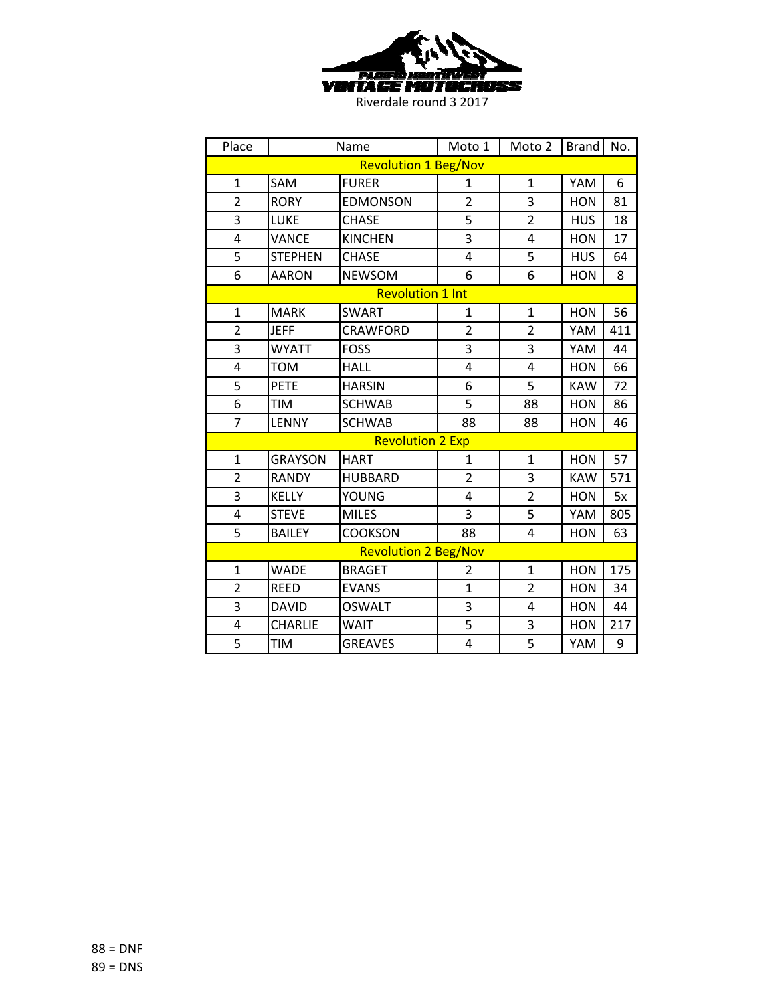

| Place          |                             | Name                        | Moto 1         | Moto 2         | <b>Brand</b> | No. |  |  |
|----------------|-----------------------------|-----------------------------|----------------|----------------|--------------|-----|--|--|
|                |                             | <b>Revolution 1 Beg/Nov</b> |                |                |              |     |  |  |
| $\mathbf{1}$   | SAM                         | <b>FURER</b>                | $\mathbf{1}$   | $\mathbf{1}$   | YAM          | 6   |  |  |
| $\overline{2}$ | <b>RORY</b>                 | <b>EDMONSON</b>             | $\overline{2}$ | 3              | <b>HON</b>   | 81  |  |  |
| 3              | LUKE                        | <b>CHASE</b>                | 5              | $\overline{2}$ | <b>HUS</b>   | 18  |  |  |
| 4              | <b>VANCE</b>                | <b>KINCHEN</b>              | $\overline{3}$ | 4              | <b>HON</b>   | 17  |  |  |
| 5              | <b>STEPHEN</b>              | <b>CHASE</b>                | 4              | 5              | <b>HUS</b>   | 64  |  |  |
| 6              | <b>AARON</b>                | <b>NEWSOM</b>               | 6              | 6              | <b>HON</b>   | 8   |  |  |
|                |                             | <b>Revolution 1 Int</b>     |                |                |              |     |  |  |
| $\mathbf{1}$   | <b>MARK</b>                 | <b>SWART</b>                | $\mathbf{1}$   | $\mathbf{1}$   | <b>HON</b>   | 56  |  |  |
| $\overline{2}$ | <b>JEFF</b>                 | <b>CRAWFORD</b>             | $\overline{2}$ | $\overline{2}$ | YAM          | 411 |  |  |
| 3              | <b>WYATT</b>                | <b>FOSS</b>                 | 3              | 3              | YAM          | 44  |  |  |
| 4              | <b>TOM</b>                  | <b>HALL</b>                 | 4              | 4              | <b>HON</b>   | 66  |  |  |
| 5              | <b>PETE</b>                 | <b>HARSIN</b>               | 6              | 5              | <b>KAW</b>   | 72  |  |  |
| 6              | <b>TIM</b>                  | <b>SCHWAB</b>               | 5              | 88             | <b>HON</b>   | 86  |  |  |
| 7              | <b>LENNY</b>                | <b>SCHWAB</b>               | 88             | 88             | <b>HON</b>   | 46  |  |  |
|                |                             | <b>Revolution 2 Exp</b>     |                |                |              |     |  |  |
| $\mathbf{1}$   | <b>GRAYSON</b>              | <b>HART</b>                 | 1              | $\mathbf{1}$   | <b>HON</b>   | 57  |  |  |
| $\overline{2}$ | <b>RANDY</b>                | <b>HUBBARD</b>              | $\overline{2}$ | 3              | <b>KAW</b>   | 571 |  |  |
| 3              | <b>KELLY</b>                | YOUNG                       | 4              | $\overline{2}$ | <b>HON</b>   | 5x  |  |  |
| 4              | <b>STEVE</b>                | <b>MILES</b>                | 3              | 5              | YAM          | 805 |  |  |
| 5              | <b>BAILEY</b>               | <b>COOKSON</b>              | 88             | 4              | <b>HON</b>   | 63  |  |  |
|                | <b>Revolution 2 Beg/Nov</b> |                             |                |                |              |     |  |  |
| $\mathbf{1}$   | <b>WADE</b>                 | <b>BRAGET</b>               | 2              | $\mathbf{1}$   | <b>HON</b>   | 175 |  |  |
| $\overline{2}$ | <b>REED</b>                 | <b>EVANS</b>                | $\overline{1}$ | $\overline{2}$ | <b>HON</b>   | 34  |  |  |
| 3              | <b>DAVID</b>                | <b>OSWALT</b>               | 3              | $\overline{4}$ | <b>HON</b>   | 44  |  |  |
| 4              | <b>CHARLIE</b>              | <b>WAIT</b>                 | 5              | 3              | <b>HON</b>   | 217 |  |  |
| 5              | TIM                         | <b>GREAVES</b>              | 4              | 5              | YAM          | 9   |  |  |